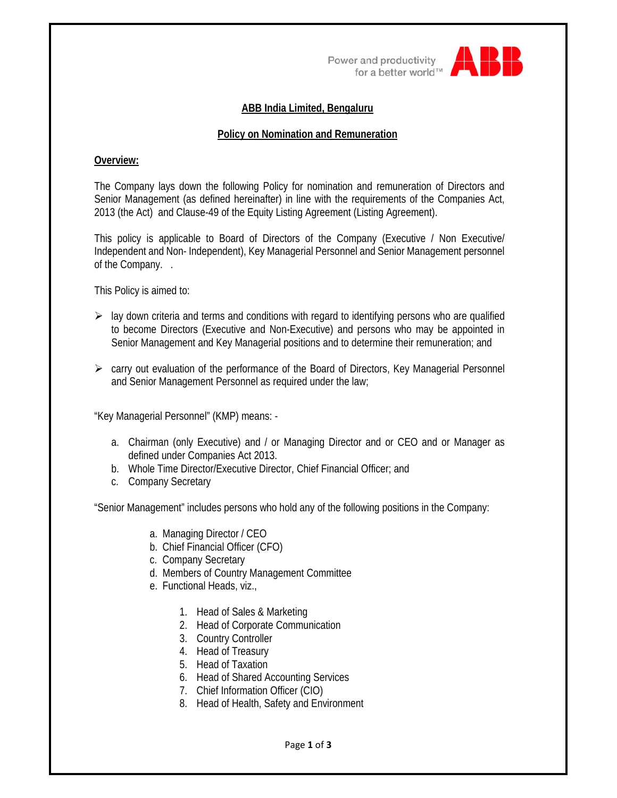Power and productivity for a better world<sup>TM</sup>



# **ABB India Limited, Bengaluru**

## **Policy on Nomination and Remuneration**

## **Overview:**

The Company lays down the following Policy for nomination and remuneration of Directors and Senior Management (as defined hereinafter) in line with the requirements of the Companies Act, 2013 (the Act) and Clause-49 of the Equity Listing Agreement (Listing Agreement).

This policy is applicable to Board of Directors of the Company (Executive / Non Executive/ Independent and Non- Independent), Key Managerial Personnel and Senior Management personnel of the Company. .

This Policy is aimed to:

- $\triangleright$  lay down criteria and terms and conditions with regard to identifying persons who are qualified to become Directors (Executive and Non-Executive) and persons who may be appointed in Senior Management and Key Managerial positions and to determine their remuneration; and
- $\triangleright$  carry out evaluation of the performance of the Board of Directors, Key Managerial Personnel and Senior Management Personnel as required under the law;

"Key Managerial Personnel" (KMP) means: -

- a. Chairman (only Executive) and / or Managing Director and or CEO and or Manager as defined under Companies Act 2013.
- b. Whole Time Director/Executive Director, Chief Financial Officer; and
- c. Company Secretary

"Senior Management" includes persons who hold any of the following positions in the Company:

- a. Managing Director / CEO
- b. Chief Financial Officer (CFO)
- c. Company Secretary
- d. Members of Country Management Committee
- e. Functional Heads, viz.,
	- 1. Head of Sales & Marketing
	- 2. Head of Corporate Communication
	- 3. Country Controller
	- 4. Head of Treasury
	- 5. Head of Taxation
	- 6. Head of Shared Accounting Services
	- 7. Chief Information Officer (CIO)
	- 8. Head of Health, Safety and Environment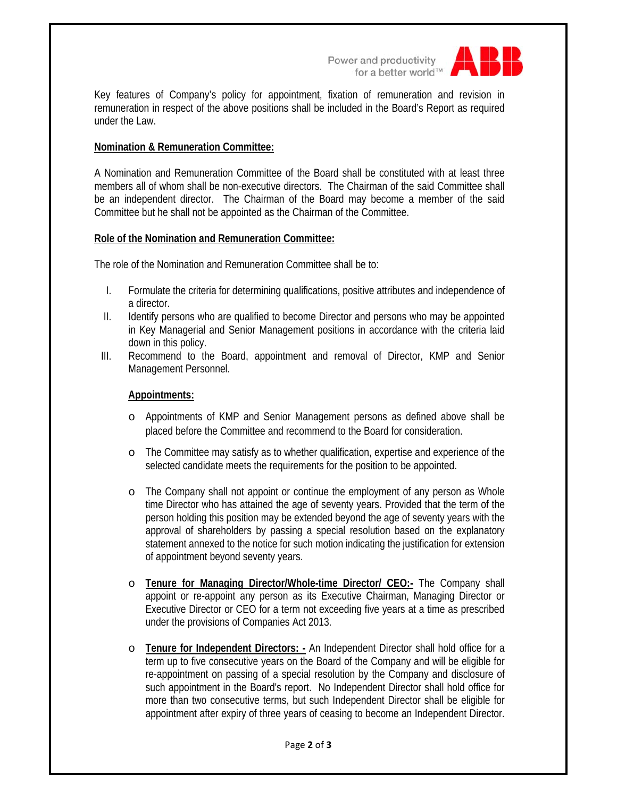Power and productivity<br>for a better world<sup>™</sup>



Key features of Company's policy for appointment, fixation of remuneration and revision in remuneration in respect of the above positions shall be included in the Board's Report as required under the Law.

# **Nomination & Remuneration Committee:**

A Nomination and Remuneration Committee of the Board shall be constituted with at least three members all of whom shall be non-executive directors. The Chairman of the said Committee shall be an independent director. The Chairman of the Board may become a member of the said Committee but he shall not be appointed as the Chairman of the Committee.

#### **Role of the Nomination and Remuneration Committee:**

The role of the Nomination and Remuneration Committee shall be to:

- I. Formulate the criteria for determining qualifications, positive attributes and independence of a director.
- II. Identify persons who are qualified to become Director and persons who may be appointed in Key Managerial and Senior Management positions in accordance with the criteria laid down in this policy.
- III. Recommend to the Board, appointment and removal of Director, KMP and Senior Management Personnel.

### **Appointments:**

- o Appointments of KMP and Senior Management persons as defined above shall be placed before the Committee and recommend to the Board for consideration.
- o The Committee may satisfy as to whether qualification, expertise and experience of the selected candidate meets the requirements for the position to be appointed.
- o The Company shall not appoint or continue the employment of any person as Whole time Director who has attained the age of seventy years. Provided that the term of the person holding this position may be extended beyond the age of seventy years with the approval of shareholders by passing a special resolution based on the explanatory statement annexed to the notice for such motion indicating the justification for extension of appointment beyond seventy years.
- o **Tenure for Managing Director/Whole-time Director/ CEO:-** The Company shall appoint or re-appoint any person as its Executive Chairman, Managing Director or Executive Director or CEO for a term not exceeding five years at a time as prescribed under the provisions of Companies Act 2013.
- o **Tenure for Independent Directors: -** An Independent Director shall hold office for a term up to five consecutive years on the Board of the Company and will be eligible for re-appointment on passing of a special resolution by the Company and disclosure of such appointment in the Board's report. No Independent Director shall hold office for more than two consecutive terms, but such Independent Director shall be eligible for appointment after expiry of three years of ceasing to become an Independent Director.